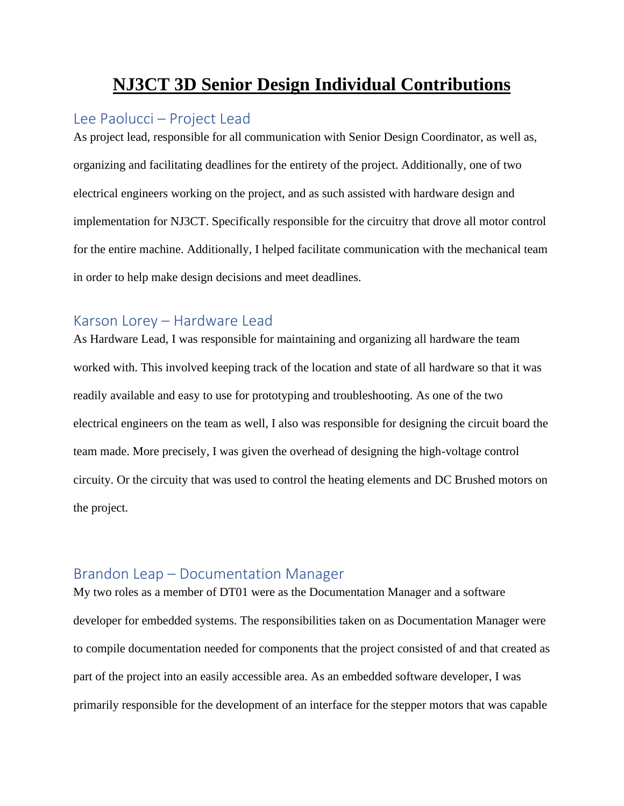# **NJ3CT 3D Senior Design Individual Contributions**

## Lee Paolucci – Project Lead

As project lead, responsible for all communication with Senior Design Coordinator, as well as, organizing and facilitating deadlines for the entirety of the project. Additionally, one of two electrical engineers working on the project, and as such assisted with hardware design and implementation for NJ3CT. Specifically responsible for the circuitry that drove all motor control for the entire machine. Additionally, I helped facilitate communication with the mechanical team in order to help make design decisions and meet deadlines.

# Karson Lorey – Hardware Lead

As Hardware Lead, I was responsible for maintaining and organizing all hardware the team worked with. This involved keeping track of the location and state of all hardware so that it was readily available and easy to use for prototyping and troubleshooting. As one of the two electrical engineers on the team as well, I also was responsible for designing the circuit board the team made. More precisely, I was given the overhead of designing the high-voltage control circuity. Or the circuity that was used to control the heating elements and DC Brushed motors on the project.

#### Brandon Leap – Documentation Manager

My two roles as a member of DT01 were as the Documentation Manager and a software developer for embedded systems. The responsibilities taken on as Documentation Manager were to compile documentation needed for components that the project consisted of and that created as part of the project into an easily accessible area. As an embedded software developer, I was primarily responsible for the development of an interface for the stepper motors that was capable